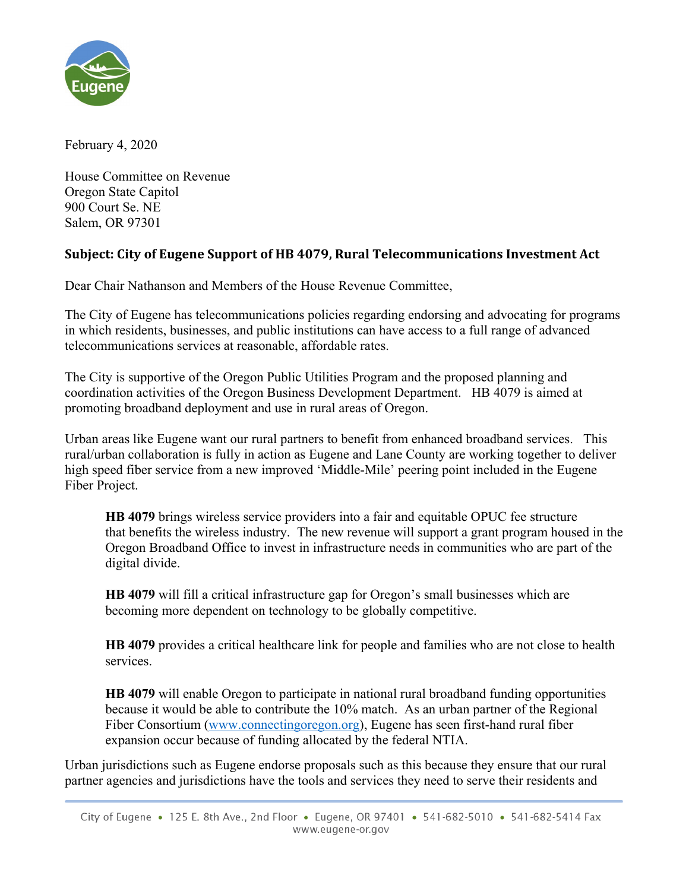

February 4, 2020

House Committee on Revenue Oregon State Capitol 900 Court Se. NE Salem, OR 97301

## **Subject: City of Eugene Support of HB 4079, Rural Telecommunications Investment Act**

Dear Chair Nathanson and Members of the House Revenue Committee,

The City of Eugene has telecommunications policies regarding endorsing and advocating for programs in which residents, businesses, and public institutions can have access to a full range of advanced telecommunications services at reasonable, affordable rates.

The City is supportive of the Oregon Public Utilities Program and the proposed planning and coordination activities of the Oregon Business Development Department. HB 4079 is aimed at promoting broadband deployment and use in rural areas of Oregon.

Urban areas like Eugene want our rural partners to benefit from enhanced broadband services. This rural/urban collaboration is fully in action as Eugene and Lane County are working together to deliver high speed fiber service from a new improved 'Middle-Mile' peering point included in the Eugene Fiber Project.

**HB 4079** brings wireless service providers into a fair and equitable OPUC fee structure that benefits the wireless industry. The new revenue will support a grant program housed in the Oregon Broadband Office to invest in infrastructure needs in communities who are part of the digital divide.

**HB 4079** will fill a critical infrastructure gap for Oregon's small businesses which are becoming more dependent on technology to be globally competitive.

**HB 4079** provides a critical healthcare link for people and families who are not close to health services.

**HB 4079** will enable Oregon to participate in national rural broadband funding opportunities because it would be able to contribute the 10% match. As an urban partner of the Regional Fiber Consortium [\(www.connectingoregon.org\)](http://www.connectingoregon.org/), Eugene has seen first-hand rural fiber expansion occur because of funding allocated by the federal NTIA.

Urban jurisdictions such as Eugene endorse proposals such as this because they ensure that our rural partner agencies and jurisdictions have the tools and services they need to serve their residents and